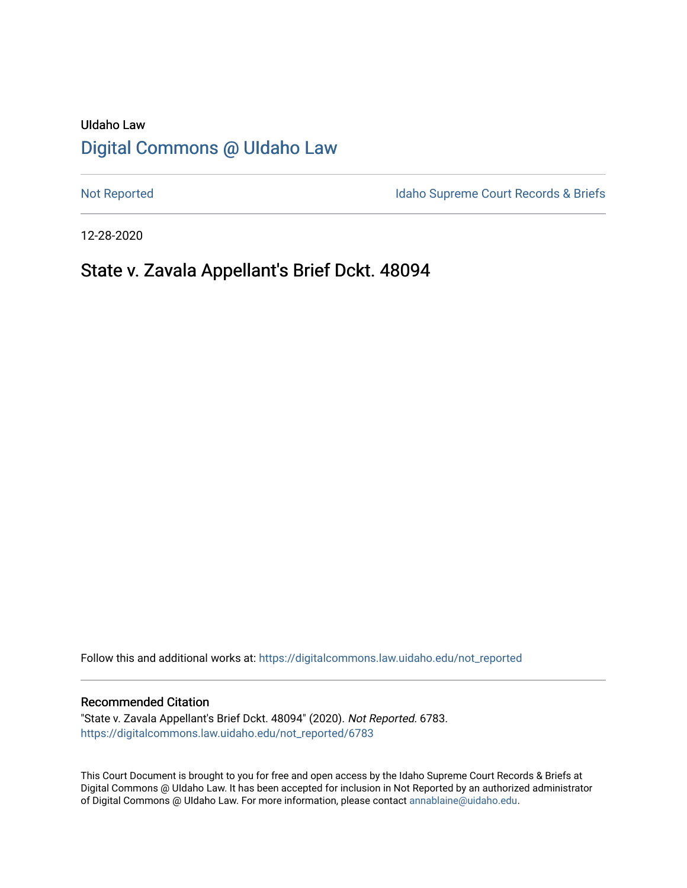# UIdaho Law [Digital Commons @ UIdaho Law](https://digitalcommons.law.uidaho.edu/)

[Not Reported](https://digitalcommons.law.uidaho.edu/not_reported) **Idaho Supreme Court Records & Briefs** 

12-28-2020

# State v. Zavala Appellant's Brief Dckt. 48094

Follow this and additional works at: [https://digitalcommons.law.uidaho.edu/not\\_reported](https://digitalcommons.law.uidaho.edu/not_reported?utm_source=digitalcommons.law.uidaho.edu%2Fnot_reported%2F6783&utm_medium=PDF&utm_campaign=PDFCoverPages) 

#### Recommended Citation

"State v. Zavala Appellant's Brief Dckt. 48094" (2020). Not Reported. 6783. [https://digitalcommons.law.uidaho.edu/not\\_reported/6783](https://digitalcommons.law.uidaho.edu/not_reported/6783?utm_source=digitalcommons.law.uidaho.edu%2Fnot_reported%2F6783&utm_medium=PDF&utm_campaign=PDFCoverPages)

This Court Document is brought to you for free and open access by the Idaho Supreme Court Records & Briefs at Digital Commons @ UIdaho Law. It has been accepted for inclusion in Not Reported by an authorized administrator of Digital Commons @ UIdaho Law. For more information, please contact [annablaine@uidaho.edu](mailto:annablaine@uidaho.edu).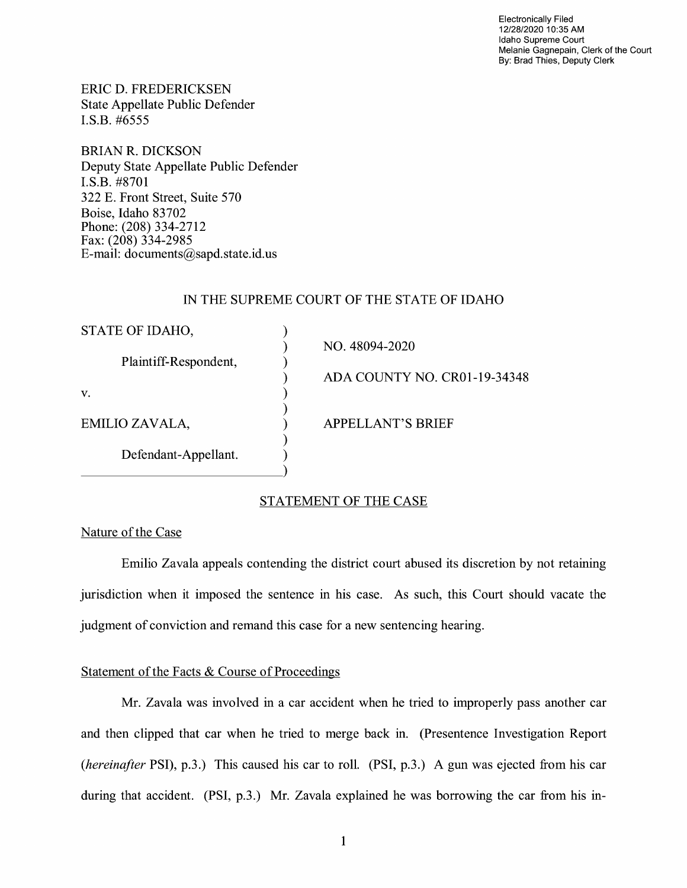Electronically Filed 12/28/2020 10:35 AM Idaho Supreme Court Melanie Gagnepain, Clerk of the Court By: Brad Thies, Deputy Clerk

ERIC D. FREDERICKSEN State Appellate Public Defender I.S.B. #6555

BRIAN R. DICKSON Deputy State Appellate Public Defender I.S.B. #8701 322 E. Front Street, Suite 570 Boise, Idaho 83702 Phone: (208) 334-2712 Fax: (208) 334-2985 E-mail: documents@sapd.state.id. us

### IN THE SUPREME COURT OF THE STATE OF IDAHO

| STATE OF IDAHO,       |                              |
|-----------------------|------------------------------|
|                       | NO. 48094-2020               |
| Plaintiff-Respondent, |                              |
|                       | ADA COUNTY NO. CR01-19-34348 |
| V.                    |                              |
|                       |                              |
| EMILIO ZAVALA,        | <b>APPELLANT'S BRIEF</b>     |
|                       |                              |
| Defendant-Appellant.  |                              |
|                       |                              |
|                       |                              |

## STATEMENT OF THE CASE

## Nature of the Case

Emilio Zavala appeals contending the district court abused its discretion by not retaining jurisdiction when it imposed the sentence in his case. As such, this Court should vacate the judgment of conviction and remand this case for a new sentencing hearing.

#### Statement of the Facts & Course of Proceedings

Mr. Zavala was involved in a car accident when he tried to improperly pass another car and then clipped that car when he tried to merge back in. (Presentence Investigation Report *(hereinafter* **PSI),** p.3.) This caused his car to roll. **(PSI,** p.3.) A gun was ejected from his car during that accident. (PSI, p.3.) Mr. Zavala explained he was borrowing the car from his in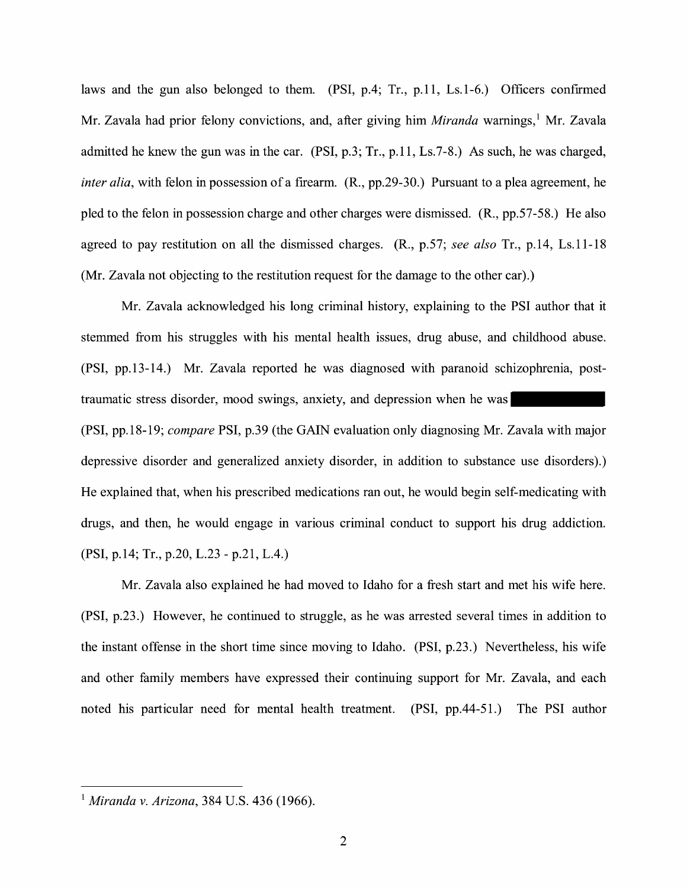laws and the gun also belonged to them. (PSI, p.4; Tr., p.11, Ls.1-6.) Officers confirmed Mr. Zavala had prior felony convictions, and, after giving him *Miranda* warnings,<sup>1</sup> Mr. Zavala admitted he knew the gun was in the car. (PSI, p.3; Tr., p.11, Ls.7-8.) As such, he was charged, *inter alia*, with felon in possession of a firearm. (R., pp.29-30.) Pursuant to a plea agreement, he pied to the felon in possession charge and other charges were dismissed. (R., pp.57-58.) He also agreed to pay restitution on all the dismissed charges. (R., p.57; *see also* Tr., p.14, Ls.11-18 (Mr. Zavala not objecting to the restitution request for the damage to the other car).)

Mr. Zavala acknowledged his long criminal history, explaining to the PSI author that it stemmed from his struggles with his mental health issues, drug abuse, and childhood abuse. (PSI, pp.13-14.) Mr. Zavala reported he was diagnosed with paranoid schizophrenia, posttraumatic stress disorder, mood swings, anxiety, and depression when he was **(PSI,** pp.18-19; *compare* **PSI,** p.39 (the GAIN evaluation only diagnosing Mr. Zavala with major depressive disorder and generalized anxiety disorder, in addition to substance use disorders).) He explained that, when his prescribed medications ran out, he would begin self-medicating with drugs, and then, he would engage in various criminal conduct to support his drug addiction. **(PSI,** p.14; Tr., p.20, L.23 - p.21, L.4.)

Mr. Zavala also explained he had moved to Idaho for a fresh start and met his wife here. **(PSI,** p.23.) However, he continued to struggle, as he was arrested several times in addition to the instant offense in the short time since moving to Idaho. (PSI, p.23.) Nevertheless, his wife and other family members have expressed their continuing support for Mr. Zavala, and each noted his particular need for mental health treatment. (PSI, pp.44-51.) The PSI author

<sup>1</sup>*Miranda v. Arizona,* 384 U.S. 436 (1966).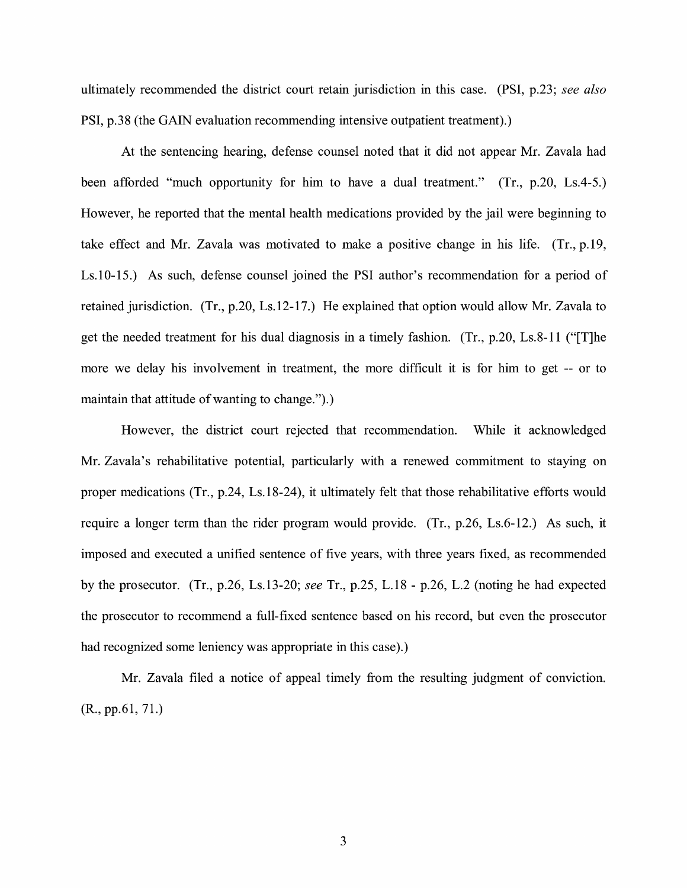ultimately recommended the district court retain jurisdiction in this case. (PSI, p.23; *see also*  PSI, p.38 (the GAIN evaluation recommending intensive outpatient treatment).)

At the sentencing hearing, defense counsel noted that it did not appear Mr. Zavala had been afforded "much opportunity for him to have a dual treatment." (Tr., p.20, Ls.4-5.) However, he reported that the mental health medications provided by the jail were beginning to take effect and Mr. Zavala was motivated to make a positive change in his life. (Tr., p.19, Ls.10-15.) As such, defense counsel joined the PSI author's recommendation for a period of retained jurisdiction. (Tr., p.20, Ls.12-17.) He explained that option would allow Mr. Zavala to get the needed treatment for his dual diagnosis in a timely fashion. (Tr., p.20, Ls.8-11 ("[T]he more we delay his involvement in treatment, the more difficult it is for him to get -- or to maintain that attitude of wanting to change.").)

However, the district court rejected that recommendation. While it acknowledged Mr. Zavala's rehabilitative potential, particularly with a renewed commitment to staying on proper medications (Tr., p.24, Ls.18-24 ), it ultimately felt that those rehabilitative efforts would require a longer term than the rider program would provide. (Tr., p.26, Ls.6-12.) As such, it imposed and executed a unified sentence of five years, with three years fixed, as recommended by the prosecutor. (Tr., p.26, Ls.13-20; *see* Tr., p.25, L. 18 - p.26, L.2 (noting he had expected the prosecutor to recommend a full-fixed sentence based on his record, but even the prosecutor had recognized some leniency was appropriate in this case).)

Mr. Zavala filed a notice of appeal timely from the resulting judgment of conviction. (R., pp.61, 71.)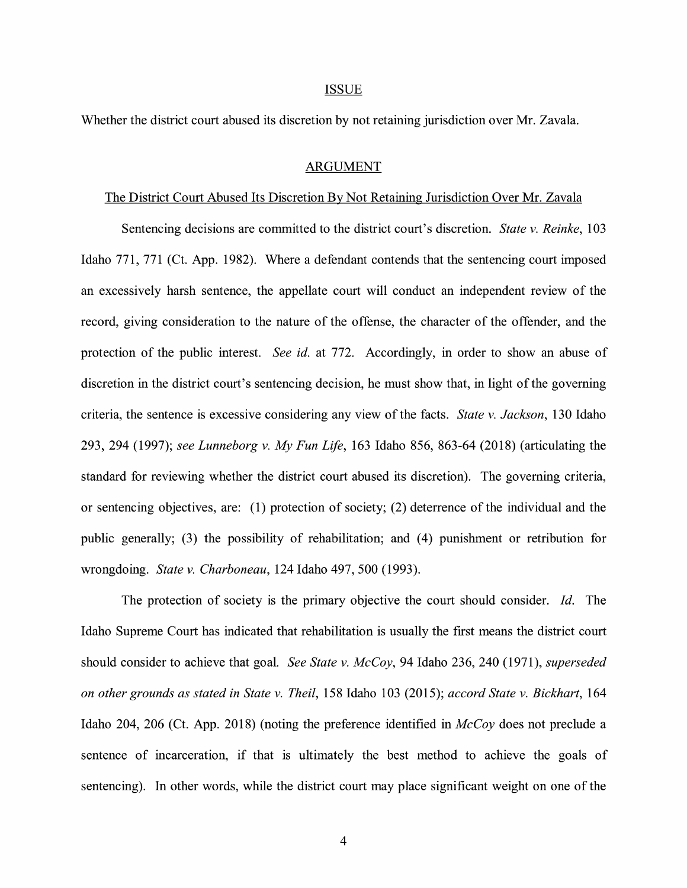#### ISSUE

Whether the district court abused its discretion by not retaining jurisdiction over Mr. Zavala.

#### ARGUMENT

#### The District Court Abused Its Discretion By Not Retaining Jurisdiction Over Mr. Zavala

Sentencing decisions are committed to the district court's discretion. *State v. Reinke,* 103 Idaho 771, 771 (Ct. App. 1982). Where a defendant contends that the sentencing court imposed an excessively harsh sentence, the appellate court will conduct an independent review of the record, giving consideration to the nature of the offense, the character of the offender, and the protection of the public interest. *See id.* at 772. Accordingly, in order to show an abuse of discretion in the district court's sentencing decision, he must show that, in light of the governing criteria, the sentence is excessive considering any view of the facts. *State v. Jackson,* 130 Idaho 293, 294 (1997); *see Lunneborg v. My Fun Life,* 163 Idaho 856, 863-64 (2018) (articulating the standard for reviewing whether the district court abused its discretion). The governing criteria, or sentencing objectives, are: (1) protection of society; (2) deterrence of the individual and the public generally; (3) the possibility of rehabilitation; and (4) punishment or retribution for wrongdoing. *State v. Charboneau,* 124 Idaho 497, 500 (1993).

The protection of society is the primary objective the court should consider. *Id.* The Idaho Supreme Court has indicated that rehabilitation is usually the first means the district court should consider to achieve that goal. *See State v. McCoy,* 94 Idaho 236, 240 (1971), *superseded on other grounds as stated in State v. Theil,* 158 Idaho 103 (2015); *accord State v. Bickhart,* 164 Idaho 204, 206 (Ct. App. 2018) (noting the preference identified in *McCoy* does not preclude a sentence of incarceration, if that is ultimately the best method to achieve the goals of sentencing). In other words, while the district court may place significant weight on one of the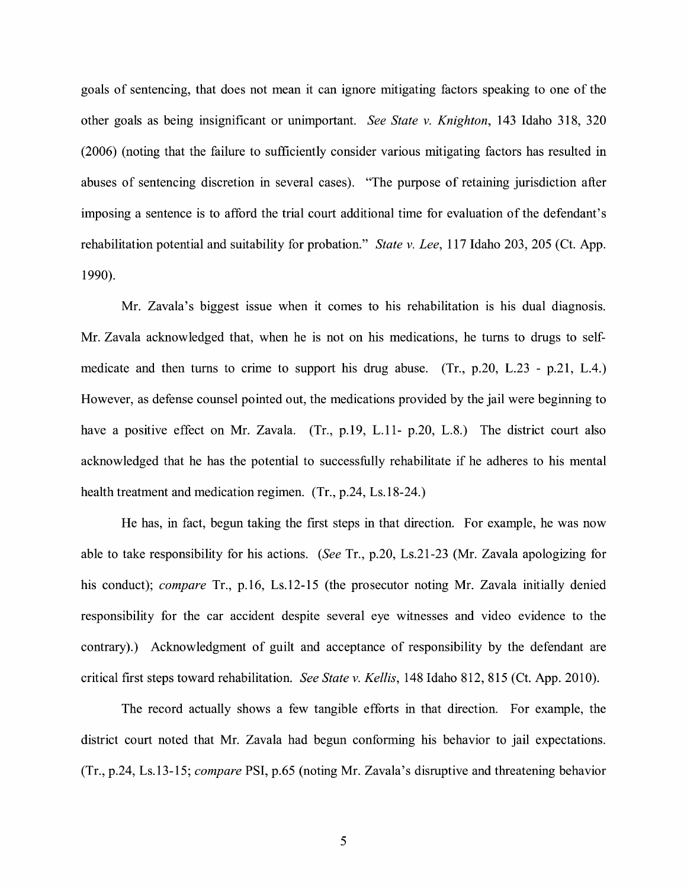goals of sentencing, that does not mean it can ignore mitigating factors speaking to one of the other goals as being insignificant or unimportant. *See State v. Knighton,* 143 Idaho 318, 320 (2006) (noting that the failure to sufficiently consider various mitigating factors has resulted in abuses of sentencing discretion in several cases). "The purpose of retaining jurisdiction after imposing a sentence is to afford the trial court additional time for evaluation of the defendant's rehabilitation potential and suitability for probation." *State v. Lee,* 117 Idaho 203, 205 (Ct. App. 1990).

Mr. Zavala's biggest issue when it comes to his rehabilitation is his dual diagnosis. Mr. Zavala acknowledged that, when he is not on his medications, he turns to drugs to selfmedicate and then turns to crime to support his drug abuse. (Tr., p.20, L.23 - p.21, L.4.) However, as defense counsel pointed out, the medications provided by the jail were beginning to have a positive effect on Mr. Zavala. (Tr., p.19, L.11- p.20, L.8.) The district court also acknowledged that he has the potential to successfully rehabilitate if he adheres to his mental health treatment and medication regimen. (Tr., p.24, Ls.18-24.)

He has, in fact, begun taking the first steps in that direction. For example, he was now able to take responsibility for his actions. *(See* Tr., p.20, Ls.21-23 (Mr. Zavala apologizing for his conduct); *compare* Tr., p.16, Ls.12-15 (the prosecutor noting Mr. Zavala initially denied responsibility for the car accident despite several eye witnesses and video evidence to the contrary).) Acknowledgment of guilt and acceptance of responsibility by the defendant are critical first steps toward rehabilitation. *See State v. Kellis,* 148 Idaho 812, 815 (Ct. App. 2010).

The record actually shows a few tangible efforts in that direction. For example, the district court noted that Mr. Zavala had begun conforming his behavior to jail expectations. (Tr., p.24, Ls.13-15; *compare* PSI, p.65 (noting Mr. Zavala's disruptive and threatening behavior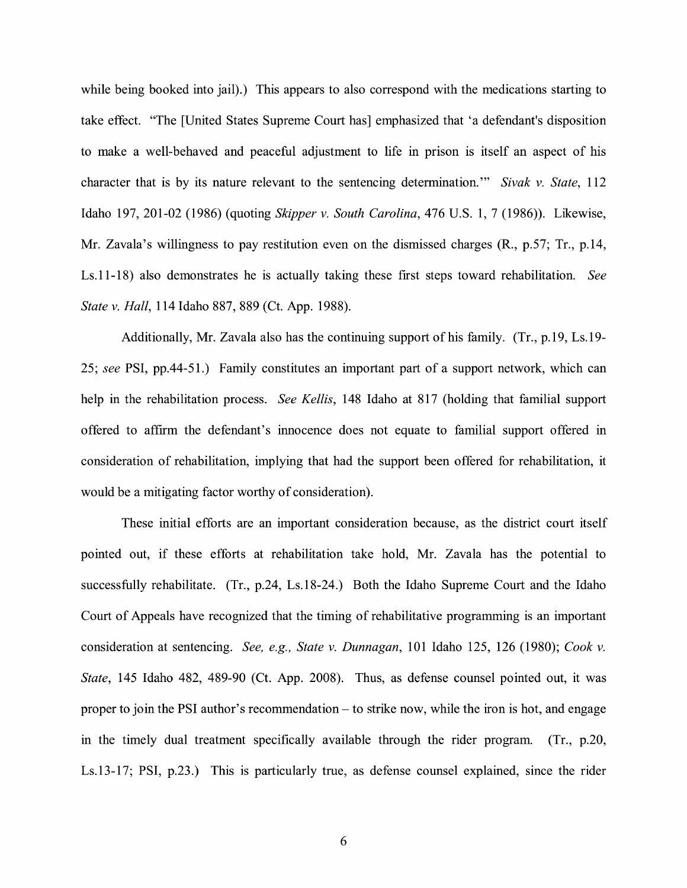while being booked into jail).) This appears to also correspond with the medications starting to take effect. "The [United States Supreme Court has] emphasized that 'a defendant's disposition to make a well-behaved and peaceful adjustment to life in prison is itself an aspect of his character that is by its nature relevant to the sentencing determination."' *Sivak v. State,* 112 Idaho 197, 201-02 (1986) (quoting *Skipper v. South Carolina,* 476 U.S. 1, 7 (1986)). Likewise, Mr. Zavala's willingness to pay restitution even on the dismissed charges (R., p.57; Tr., p.14, Ls.11-18) also demonstrates he is actually taking these first steps toward rehabilitation. *See State v. Hall,* 114 Idaho 887, 889 (Ct. App. 1988).

Additionally, Mr. Zavala also has the continuing support of his family. (Tr., p.19, Ls.19- 25; *see* **PSI,** pp.44-51.) Family constitutes an important part of a support network, which can help in the rehabilitation process. *See Kellis,* 148 Idaho at 817 (holding that familial support offered to affirm the defendant's innocence does not equate to familial support offered in consideration of rehabilitation, implying that had the support been offered for rehabilitation, it would be a mitigating factor worthy of consideration).

These initial efforts are an important consideration because, as the district court itself pointed out, if these efforts at rehabilitation take hold, Mr. Zavala has the potential to successfully rehabilitate. (Tr., p.24, Ls.18-24.) Both the Idaho Supreme Court and the Idaho Court of Appeals have recognized that the timing of rehabilitative programming is an important consideration at sentencing. *See, e.g., State v. Dunnagan,* IOI Idaho 125, 126 (1980); *Cook v. State,* 145 Idaho 482, 489-90 (Ct. App. 2008). Thus, as defense counsel pointed out, it was proper to join the PSI author's recommendation- to strike now, while the iron is hot, and engage in the timely dual treatment specifically available through the rider program. (Tr., p.20, Ls.13-17; PSI, p.23.) This is particularly true, as defense counsel explained, since the rider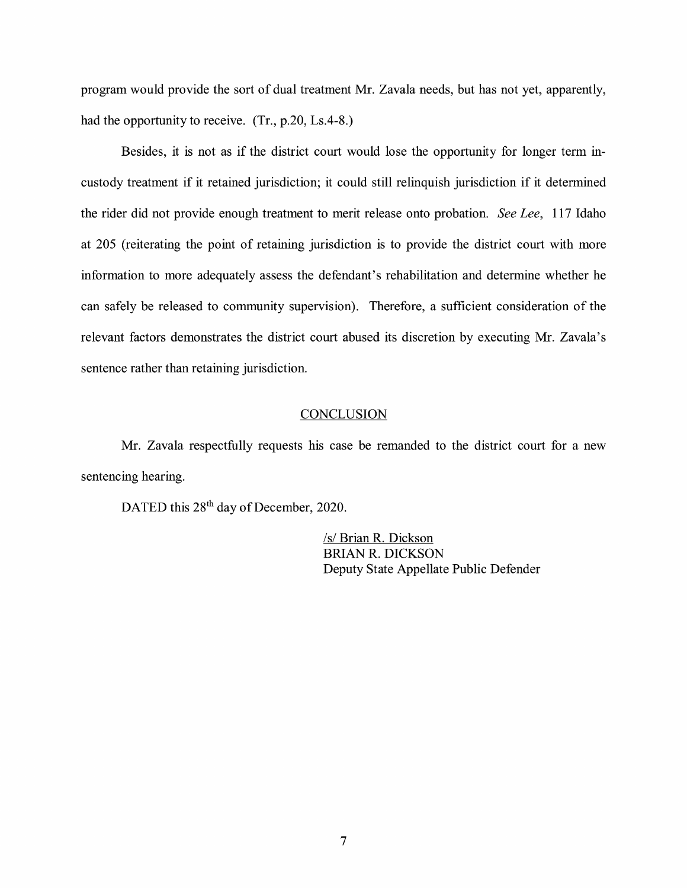program would provide the sort of dual treatment Mr. Zavala needs, but has not yet, apparently, had the opportunity to receive. (Tr., p.20, Ls.4-8.)

Besides, it is not as if the district court would lose the opportunity for longer term incustody treatment if it retained jurisdiction; it could still relinquish jurisdiction if it determined the rider did not provide enough treatment to merit release onto probation. *See Lee,* 117 Idaho at 205 (reiterating the point of retaining jurisdiction is to provide the district court with more information to more adequately assess the defendant's rehabilitation and determine whether he can safely be released to community supervision). Therefore, a sufficient consideration of the relevant factors demonstrates the district court abused its discretion by executing Mr. Zavala's sentence rather than retaining jurisdiction.

#### **CONCLUSION**

Mr. Zavala respectfully requests his case be remanded to the district court for a new sentencing hearing.

DATED this 28<sup>th</sup> day of December, 2020.

/s/ Brian R. Dickson BRIAN R. DICKSON Deputy State Appellate Public Defender